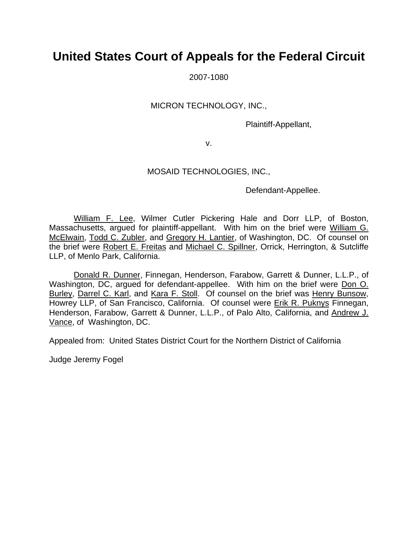# **United States Court of Appeals for the Federal Circuit**

2007-1080

#### MICRON TECHNOLOGY, INC.,

Plaintiff-Appellant,

v.

### MOSAID TECHNOLOGIES, INC.,

Defendant-Appellee.

William F. Lee, Wilmer Cutler Pickering Hale and Dorr LLP, of Boston, Massachusetts, argued for plaintiff-appellant. With him on the brief were William G. McElwain, Todd C. Zubler, and Gregory H. Lantier, of Washington, DC. Of counsel on the brief were Robert E. Freitas and Michael C. Spillner, Orrick, Herrington, & Sutcliffe LLP, of Menlo Park, California.

Donald R. Dunner, Finnegan, Henderson, Farabow, Garrett & Dunner, L.L.P., of Washington, DC, argued for defendant-appellee. With him on the brief were Don O. Burley, Darrel C. Karl, and Kara F. Stoll. Of counsel on the brief was Henry Bunsow, Howrey LLP, of San Francisco, California. Of counsel were Erik R. Puknys Finnegan, Henderson, Farabow, Garrett & Dunner, L.L.P., of Palo Alto, California, and Andrew J. Vance, of Washington, DC.

Appealed from: United States District Court for the Northern District of California

Judge Jeremy Fogel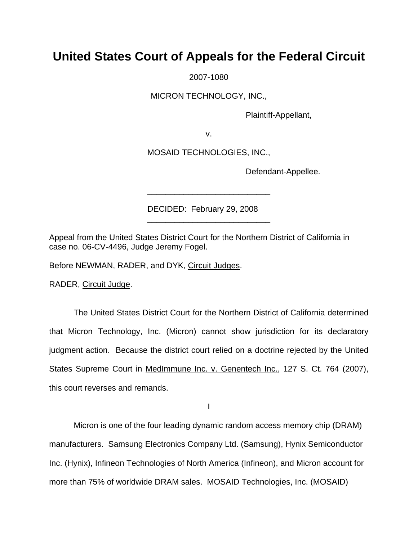## **United States Court of Appeals for the Federal Circuit**

2007-1080

MICRON TECHNOLOGY, INC.,

Plaintiff-Appellant,

v.

MOSAID TECHNOLOGIES, INC.,

\_\_\_\_\_\_\_\_\_\_\_\_\_\_\_\_\_\_\_\_\_\_\_\_\_\_\_

\_\_\_\_\_\_\_\_\_\_\_\_\_\_\_\_\_\_\_\_\_\_\_\_\_\_\_

Defendant-Appellee.

DECIDED: February 29, 2008

Appeal from the United States District Court for the Northern District of California in case no. 06-CV-4496, Judge Jeremy Fogel.

Before NEWMAN, RADER, and DYK, Circuit Judges.

RADER, Circuit Judge.

 The United States District Court for the Northern District of California determined that Micron Technology, Inc. (Micron) cannot show jurisdiction for its declaratory judgment action. Because the district court relied on a doctrine rejected by the United States Supreme Court in MedImmune Inc. v. Genentech Inc., 127 S. Ct. 764 (2007), this court reverses and remands.

I

 Micron is one of the four leading dynamic random access memory chip (DRAM) manufacturers. Samsung Electronics Company Ltd. (Samsung), Hynix Semiconductor Inc. (Hynix), Infineon Technologies of North America (Infineon), and Micron account for more than 75% of worldwide DRAM sales. MOSAID Technologies, Inc. (MOSAID)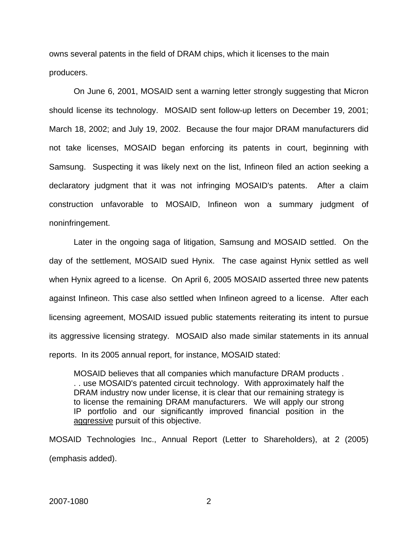owns several patents in the field of DRAM chips, which it licenses to the main producers.

On June 6, 2001, MOSAID sent a warning letter strongly suggesting that Micron should license its technology. MOSAID sent follow-up letters on December 19, 2001; March 18, 2002; and July 19, 2002. Because the four major DRAM manufacturers did not take licenses, MOSAID began enforcing its patents in court, beginning with Samsung. Suspecting it was likely next on the list, Infineon filed an action seeking a declaratory judgment that it was not infringing MOSAID's patents. After a claim construction unfavorable to MOSAID, Infineon won a summary judgment of noninfringement.

Later in the ongoing saga of litigation, Samsung and MOSAID settled. On the day of the settlement, MOSAID sued Hynix. The case against Hynix settled as well when Hynix agreed to a license. On April 6, 2005 MOSAID asserted three new patents against Infineon. This case also settled when Infineon agreed to a license. After each licensing agreement, MOSAID issued public statements reiterating its intent to pursue its aggressive licensing strategy. MOSAID also made similar statements in its annual reports. In its 2005 annual report, for instance, MOSAID stated:

MOSAID believes that all companies which manufacture DRAM products . . . use MOSAID's patented circuit technology. With approximately half the DRAM industry now under license, it is clear that our remaining strategy is to license the remaining DRAM manufacturers. We will apply our strong IP portfolio and our significantly improved financial position in the aggressive pursuit of this objective.

MOSAID Technologies Inc., Annual Report (Letter to Shareholders), at 2 (2005) (emphasis added).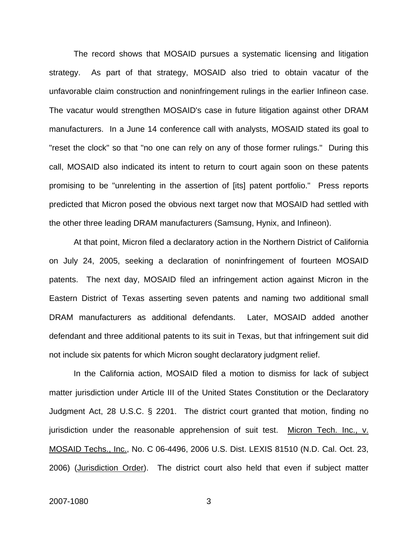The record shows that MOSAID pursues a systematic licensing and litigation strategy. As part of that strategy, MOSAID also tried to obtain vacatur of the unfavorable claim construction and noninfringement rulings in the earlier Infineon case. The vacatur would strengthen MOSAID's case in future litigation against other DRAM manufacturers. In a June 14 conference call with analysts, MOSAID stated its goal to "reset the clock" so that "no one can rely on any of those former rulings." During this call, MOSAID also indicated its intent to return to court again soon on these patents promising to be "unrelenting in the assertion of [its] patent portfolio." Press reports predicted that Micron posed the obvious next target now that MOSAID had settled with the other three leading DRAM manufacturers (Samsung, Hynix, and Infineon).

At that point, Micron filed a declaratory action in the Northern District of California on July 24, 2005, seeking a declaration of noninfringement of fourteen MOSAID patents. The next day, MOSAID filed an infringement action against Micron in the Eastern District of Texas asserting seven patents and naming two additional small DRAM manufacturers as additional defendants. Later, MOSAID added another defendant and three additional patents to its suit in Texas, but that infringement suit did not include six patents for which Micron sought declaratory judgment relief.

In the California action, MOSAID filed a motion to dismiss for lack of subject matter jurisdiction under Article III of the United States Constitution or the Declaratory Judgment Act, 28 U.S.C. § 2201. The district court granted that motion, finding no jurisdiction under the reasonable apprehension of suit test. Micron Tech. Inc., v. MOSAID Techs., Inc., No. C 06-4496, 2006 U.S. Dist. LEXIS 81510 (N.D. Cal. Oct. 23, 2006) (Jurisdiction Order). The district court also held that even if subject matter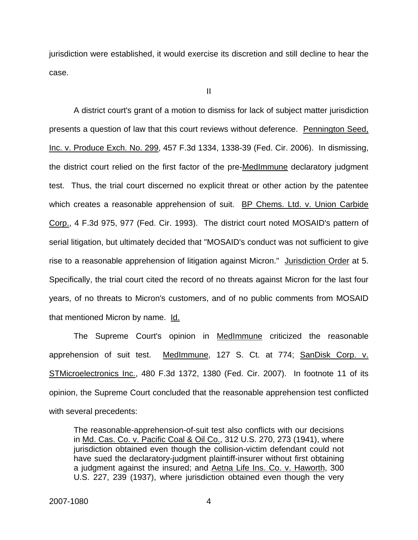jurisdiction were established, it would exercise its discretion and still decline to hear the case.

II

 A district court's grant of a motion to dismiss for lack of subject matter jurisdiction presents a question of law that this court reviews without deference. Pennington Seed, Inc. v. Produce Exch. No. 299, 457 F.3d 1334, 1338-39 (Fed. Cir. 2006). In dismissing, the district court relied on the first factor of the pre-MedImmune declaratory judgment test. Thus, the trial court discerned no explicit threat or other action by the patentee which creates a reasonable apprehension of suit. BP Chems. Ltd. v. Union Carbide Corp., 4 F.3d 975, 977 (Fed. Cir. 1993). The district court noted MOSAID's pattern of serial litigation, but ultimately decided that "MOSAID's conduct was not sufficient to give rise to a reasonable apprehension of litigation against Micron." Jurisdiction Order at 5. Specifically, the trial court cited the record of no threats against Micron for the last four years, of no threats to Micron's customers, and of no public comments from MOSAID that mentioned Micron by name. Id.

 The Supreme Court's opinion in MedImmune criticized the reasonable apprehension of suit test. MedImmune, 127 S. Ct. at 774; SanDisk Corp. v. STMicroelectronics Inc., 480 F.3d 1372, 1380 (Fed. Cir. 2007). In footnote 11 of its opinion, the Supreme Court concluded that the reasonable apprehension test conflicted with several precedents:

The reasonable-apprehension-of-suit test also conflicts with our decisions in Md. Cas. Co. v. Pacific Coal & Oil Co., 312 U.S. 270, 273 (1941), where jurisdiction obtained even though the collision-victim defendant could not have sued the declaratory-judgment plaintiff-insurer without first obtaining a judgment against the insured; and Aetna Life Ins. Co. v. Haworth, 300 U.S. 227, 239 (1937), where jurisdiction obtained even though the very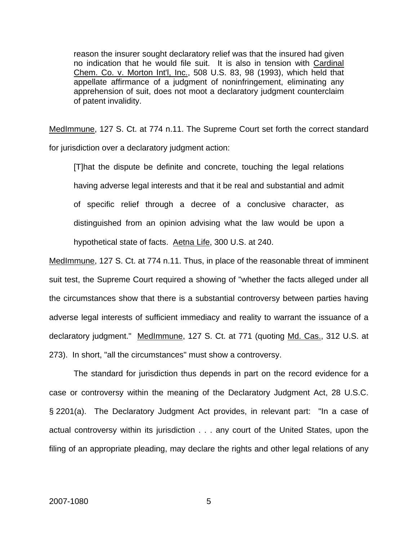reason the insurer sought declaratory relief was that the insured had given no indication that he would file suit. It is also in tension with Cardinal Chem. Co. v. Morton Int'l, Inc., 508 U.S. 83, 98 (1993), which held that appellate affirmance of a judgment of noninfringement, eliminating any apprehension of suit, does not moot a declaratory judgment counterclaim of patent invalidity.

MedImmune, 127 S. Ct. at 774 n.11. The Supreme Court set forth the correct standard for jurisdiction over a declaratory judgment action:

 [T]hat the dispute be definite and concrete, touching the legal relations having adverse legal interests and that it be real and substantial and admit of specific relief through a decree of a conclusive character, as distinguished from an opinion advising what the law would be upon a hypothetical state of facts. Aetna Life, 300 U.S. at 240.

MedImmune, 127 S. Ct. at 774 n.11. Thus, in place of the reasonable threat of imminent suit test, the Supreme Court required a showing of "whether the facts alleged under all the circumstances show that there is a substantial controversy between parties having adverse legal interests of sufficient immediacy and reality to warrant the issuance of a declaratory judgment." MedImmune, 127 S. Ct. at 771 (quoting Md. Cas., 312 U.S. at 273). In short, "all the circumstances" must show a controversy.

 The standard for jurisdiction thus depends in part on the record evidence for a case or controversy within the meaning of the Declaratory Judgment Act, 28 U.S.C. § 2201(a). The Declaratory Judgment Act provides, in relevant part: "In a case of actual controversy within its jurisdiction . . . any court of the United States, upon the filing of an appropriate pleading, may declare the rights and other legal relations of any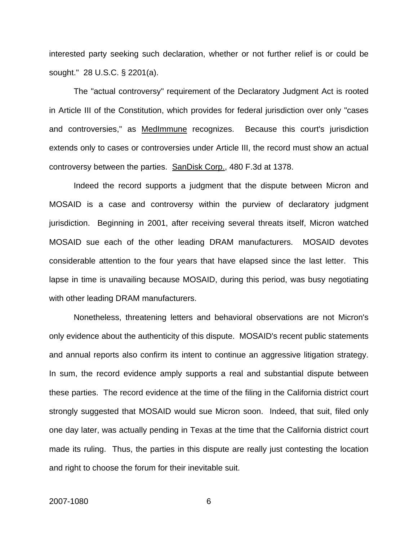interested party seeking such declaration, whether or not further relief is or could be sought." 28 U.S.C. § 2201(a).

 The "actual controversy" requirement of the Declaratory Judgment Act is rooted in Article III of the Constitution, which provides for federal jurisdiction over only "cases and controversies," as MedImmune recognizes. Because this court's jurisdiction extends only to cases or controversies under Article III, the record must show an actual controversy between the parties. SanDisk Corp., 480 F.3d at 1378.

 Indeed the record supports a judgment that the dispute between Micron and MOSAID is a case and controversy within the purview of declaratory judgment jurisdiction. Beginning in 2001, after receiving several threats itself, Micron watched MOSAID sue each of the other leading DRAM manufacturers. MOSAID devotes considerable attention to the four years that have elapsed since the last letter. This lapse in time is unavailing because MOSAID, during this period, was busy negotiating with other leading DRAM manufacturers.

 Nonetheless, threatening letters and behavioral observations are not Micron's only evidence about the authenticity of this dispute. MOSAID's recent public statements and annual reports also confirm its intent to continue an aggressive litigation strategy. In sum, the record evidence amply supports a real and substantial dispute between these parties. The record evidence at the time of the filing in the California district court strongly suggested that MOSAID would sue Micron soon. Indeed, that suit, filed only one day later, was actually pending in Texas at the time that the California district court made its ruling. Thus, the parties in this dispute are really just contesting the location and right to choose the forum for their inevitable suit.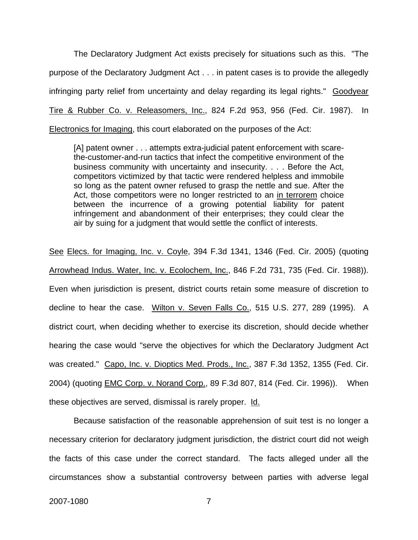The Declaratory Judgment Act exists precisely for situations such as this. "The purpose of the Declaratory Judgment Act . . . in patent cases is to provide the allegedly infringing party relief from uncertainty and delay regarding its legal rights." Goodyear Tire & Rubber Co. v. Releasomers, Inc., 824 F.2d 953, 956 (Fed. Cir. 1987). In Electronics for Imaging, this court elaborated on the purposes of the Act:

[A] patent owner . . . attempts extra-judicial patent enforcement with scarethe-customer-and-run tactics that infect the competitive environment of the business community with uncertainty and insecurity. . . . Before the Act, competitors victimized by that tactic were rendered helpless and immobile so long as the patent owner refused to grasp the nettle and sue. After the Act, those competitors were no longer restricted to an in terrorem choice between the incurrence of a growing potential liability for patent infringement and abandonment of their enterprises; they could clear the air by suing for a judgment that would settle the conflict of interests.

See Elecs. for Imaging, Inc. v. Coyle, 394 F.3d 1341, 1346 (Fed. Cir. 2005) (quoting Arrowhead Indus. Water, Inc. v. Ecolochem, Inc., 846 F.2d 731, 735 (Fed. Cir. 1988)). Even when jurisdiction is present, district courts retain some measure of discretion to decline to hear the case. Wilton v. Seven Falls Co., 515 U.S. 277, 289 (1995). A district court, when deciding whether to exercise its discretion, should decide whether hearing the case would "serve the objectives for which the Declaratory Judgment Act was created." Capo, Inc. v. Dioptics Med. Prods., Inc., 387 F.3d 1352, 1355 (Fed. Cir. 2004) (quoting EMC Corp. v. Norand Corp., 89 F.3d 807, 814 (Fed. Cir. 1996)). When these objectives are served, dismissal is rarely proper. Id.

 Because satisfaction of the reasonable apprehension of suit test is no longer a necessary criterion for declaratory judgment jurisdiction, the district court did not weigh the facts of this case under the correct standard. The facts alleged under all the circumstances show a substantial controversy between parties with adverse legal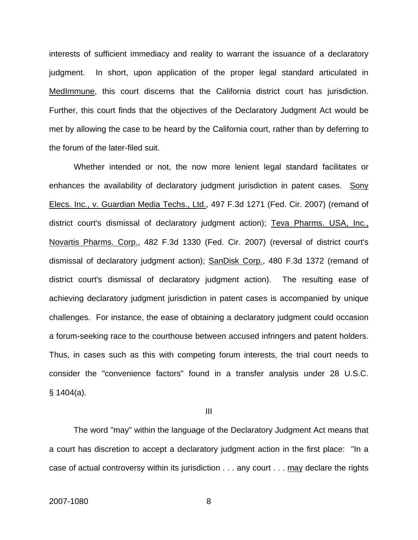interests of sufficient immediacy and reality to warrant the issuance of a declaratory judgment. In short, upon application of the proper legal standard articulated in MedImmune, this court discerns that the California district court has jurisdiction. Further, this court finds that the objectives of the Declaratory Judgment Act would be met by allowing the case to be heard by the California court, rather than by deferring to the forum of the later-filed suit.

 Whether intended or not, the now more lenient legal standard facilitates or enhances the availability of declaratory judgment jurisdiction in patent cases. Sony Elecs. Inc., v. Guardian Media Techs., Ltd., 497 F.3d 1271 (Fed. Cir. 2007) (remand of district court's dismissal of declaratory judgment action); Teva Pharms. USA, Inc., Novartis Pharms. Corp., 482 F.3d 1330 (Fed. Cir. 2007) (reversal of district court's dismissal of declaratory judgment action); SanDisk Corp., 480 F.3d 1372 (remand of district court's dismissal of declaratory judgment action). The resulting ease of achieving declaratory judgment jurisdiction in patent cases is accompanied by unique challenges. For instance, the ease of obtaining a declaratory judgment could occasion a forum-seeking race to the courthouse between accused infringers and patent holders. Thus, in cases such as this with competing forum interests, the trial court needs to consider the "convenience factors" found in a transfer analysis under 28 U.S.C. § 1404(a).

III

 The word "may" within the language of the Declaratory Judgment Act means that a court has discretion to accept a declaratory judgment action in the first place: "In a case of actual controversy within its jurisdiction . . . any court . . . may declare the rights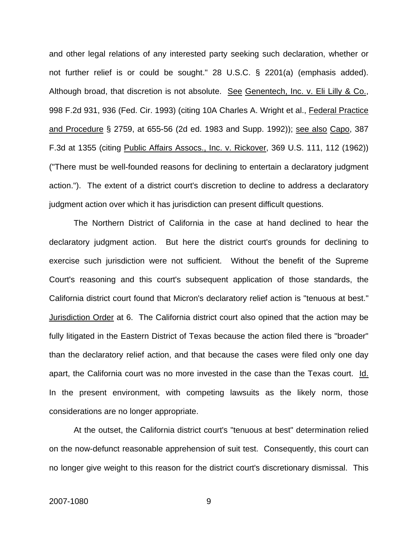and other legal relations of any interested party seeking such declaration, whether or not further relief is or could be sought." 28 U.S.C. § 2201(a) (emphasis added). Although broad, that discretion is not absolute. See Genentech, Inc. v. Eli Lilly & Co., 998 F.2d 931, 936 (Fed. Cir. 1993) (citing 10A Charles A. Wright et al., Federal Practice and Procedure § 2759, at 655-56 (2d ed. 1983 and Supp. 1992)); see also Capo, 387 F.3d at 1355 (citing Public Affairs Assocs., Inc. v. Rickover, 369 U.S. 111, 112 (1962)) ("There must be well-founded reasons for declining to entertain a declaratory judgment action."). The extent of a district court's discretion to decline to address a declaratory judgment action over which it has jurisdiction can present difficult questions.

The Northern District of California in the case at hand declined to hear the declaratory judgment action. But here the district court's grounds for declining to exercise such jurisdiction were not sufficient. Without the benefit of the Supreme Court's reasoning and this court's subsequent application of those standards, the California district court found that Micron's declaratory relief action is "tenuous at best." Jurisdiction Order at 6. The California district court also opined that the action may be fully litigated in the Eastern District of Texas because the action filed there is "broader" than the declaratory relief action, and that because the cases were filed only one day apart, the California court was no more invested in the case than the Texas court. Id. In the present environment, with competing lawsuits as the likely norm, those considerations are no longer appropriate.

At the outset, the California district court's "tenuous at best" determination relied on the now-defunct reasonable apprehension of suit test. Consequently, this court can no longer give weight to this reason for the district court's discretionary dismissal. This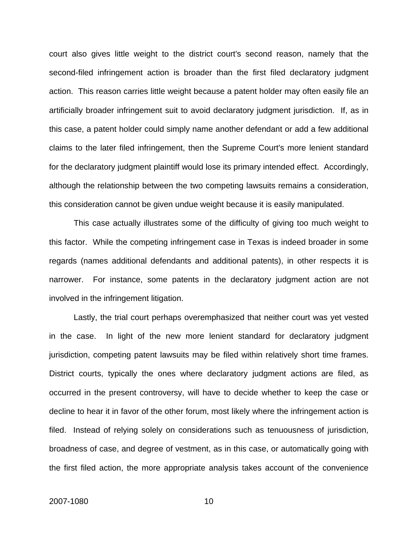court also gives little weight to the district court's second reason, namely that the second-filed infringement action is broader than the first filed declaratory judgment action. This reason carries little weight because a patent holder may often easily file an artificially broader infringement suit to avoid declaratory judgment jurisdiction. If, as in this case, a patent holder could simply name another defendant or add a few additional claims to the later filed infringement, then the Supreme Court's more lenient standard for the declaratory judgment plaintiff would lose its primary intended effect. Accordingly, although the relationship between the two competing lawsuits remains a consideration, this consideration cannot be given undue weight because it is easily manipulated.

This case actually illustrates some of the difficulty of giving too much weight to this factor. While the competing infringement case in Texas is indeed broader in some regards (names additional defendants and additional patents), in other respects it is narrower. For instance, some patents in the declaratory judgment action are not involved in the infringement litigation.

Lastly, the trial court perhaps overemphasized that neither court was yet vested in the case. In light of the new more lenient standard for declaratory judgment jurisdiction, competing patent lawsuits may be filed within relatively short time frames. District courts, typically the ones where declaratory judgment actions are filed, as occurred in the present controversy, will have to decide whether to keep the case or decline to hear it in favor of the other forum, most likely where the infringement action is filed. Instead of relying solely on considerations such as tenuousness of jurisdiction, broadness of case, and degree of vestment, as in this case, or automatically going with the first filed action, the more appropriate analysis takes account of the convenience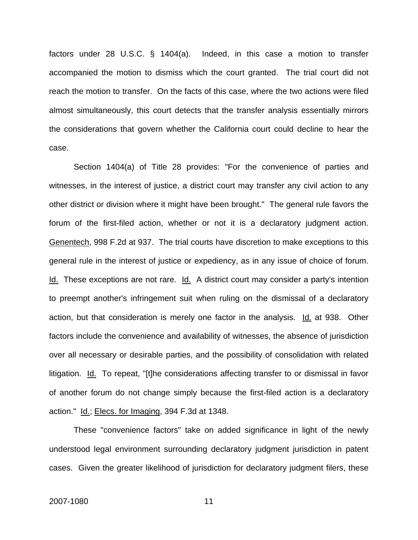factors under 28 U.S.C. § 1404(a). Indeed, in this case a motion to transfer accompanied the motion to dismiss which the court granted. The trial court did not reach the motion to transfer. On the facts of this case, where the two actions were filed almost simultaneously, this court detects that the transfer analysis essentially mirrors the considerations that govern whether the California court could decline to hear the case.

Section 1404(a) of Title 28 provides: "For the convenience of parties and witnesses, in the interest of justice, a district court may transfer any civil action to any other district or division where it might have been brought." The general rule favors the forum of the first-filed action, whether or not it is a declaratory judgment action. Genentech, 998 F.2d at 937. The trial courts have discretion to make exceptions to this general rule in the interest of justice or expediency, as in any issue of choice of forum. Id. These exceptions are not rare. Id. A district court may consider a party's intention to preempt another's infringement suit when ruling on the dismissal of a declaratory action, but that consideration is merely one factor in the analysis. Id. at 938. Other factors include the convenience and availability of witnesses, the absence of jurisdiction over all necessary or desirable parties, and the possibility of consolidation with related litigation. Id. To repeat, "[t]he considerations affecting transfer to or dismissal in favor of another forum do not change simply because the first-filed action is a declaratory action." Id.; Elecs. for Imaging, 394 F.3d at 1348.

These "convenience factors" take on added significance in light of the newly understood legal environment surrounding declaratory judgment jurisdiction in patent cases. Given the greater likelihood of jurisdiction for declaratory judgment filers, these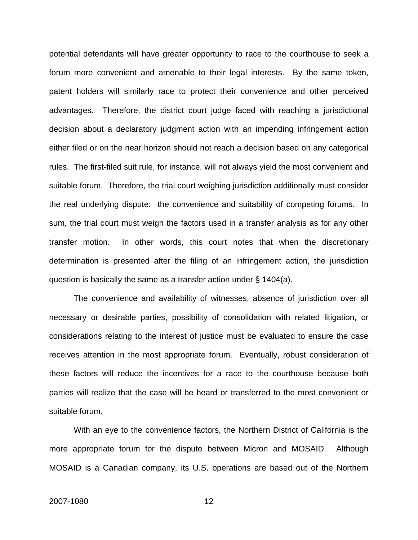potential defendants will have greater opportunity to race to the courthouse to seek a forum more convenient and amenable to their legal interests. By the same token, patent holders will similarly race to protect their convenience and other perceived advantages. Therefore, the district court judge faced with reaching a jurisdictional decision about a declaratory judgment action with an impending infringement action either filed or on the near horizon should not reach a decision based on any categorical rules. The first-filed suit rule, for instance, will not always yield the most convenient and suitable forum. Therefore, the trial court weighing jurisdiction additionally must consider the real underlying dispute: the convenience and suitability of competing forums. In sum, the trial court must weigh the factors used in a transfer analysis as for any other transfer motion. In other words, this court notes that when the discretionary determination is presented after the filing of an infringement action, the jurisdiction question is basically the same as a transfer action under § 1404(a).

The convenience and availability of witnesses, absence of jurisdiction over all necessary or desirable parties, possibility of consolidation with related litigation, or considerations relating to the interest of justice must be evaluated to ensure the case receives attention in the most appropriate forum. Eventually, robust consideration of these factors will reduce the incentives for a race to the courthouse because both parties will realize that the case will be heard or transferred to the most convenient or suitable forum.

With an eye to the convenience factors, the Northern District of California is the more appropriate forum for the dispute between Micron and MOSAID. Although MOSAID is a Canadian company, its U.S. operations are based out of the Northern